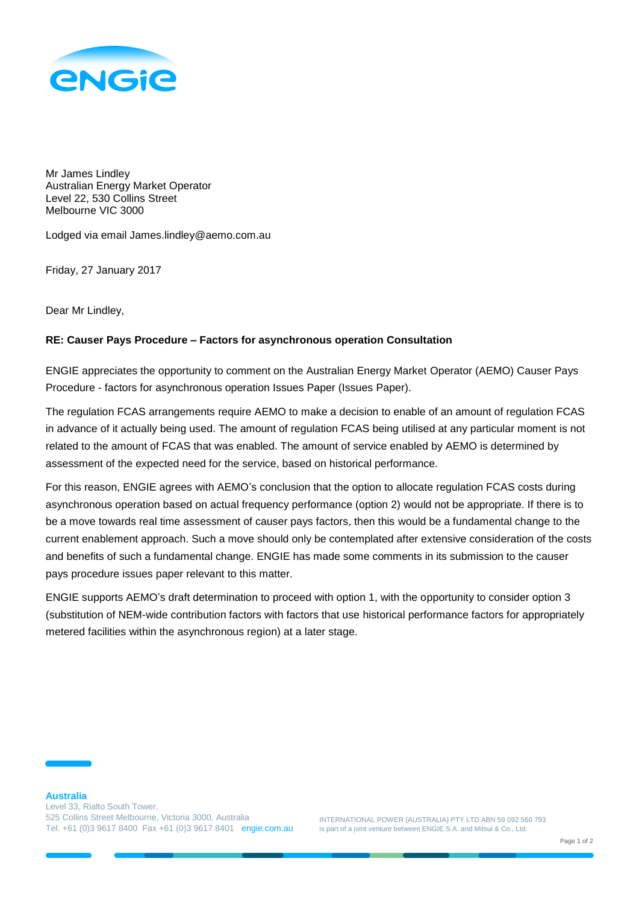

Mr James Lindley Australian Energy Market Operator Level 22, 530 Collins Street Melbourne VIC 3000

Lodged via email James.lindley@aemo.com.au

Friday, 27 January 2017

Dear Mr Lindley,

## **RE: Causer Pays Procedure – Factors for asynchronous operation Consultation**

ENGIE appreciates the opportunity to comment on the Australian Energy Market Operator (AEMO) Causer Pays Procedure - factors for asynchronous operation Issues Paper (Issues Paper).

The regulation FCAS arrangements require AEMO to make a decision to enable of an amount of regulation FCAS in advance of it actually being used. The amount of regulation FCAS being utilised at any particular moment is not related to the amount of FCAS that was enabled. The amount of service enabled by AEMO is determined by assessment of the expected need for the service, based on historical performance.

For this reason, ENGIE agrees with AEMO's conclusion that the option to allocate regulation FCAS costs during asynchronous operation based on actual frequency performance (option 2) would not be appropriate. If there is to be a move towards real time assessment of causer pays factors, then this would be a fundamental change to the current enablement approach. Such a move should only be contemplated after extensive consideration of the costs and benefits of such a fundamental change. ENGIE has made some comments in its submission to the causer pays procedure issues paper relevant to this matter.

ENGIE supports AEMO's draft determination to proceed with option 1, with the opportunity to consider option 3 (substitution of NEM-wide contribution factors with factors that use historical performance factors for appropriately metered facilities within the asynchronous region) at a later stage.